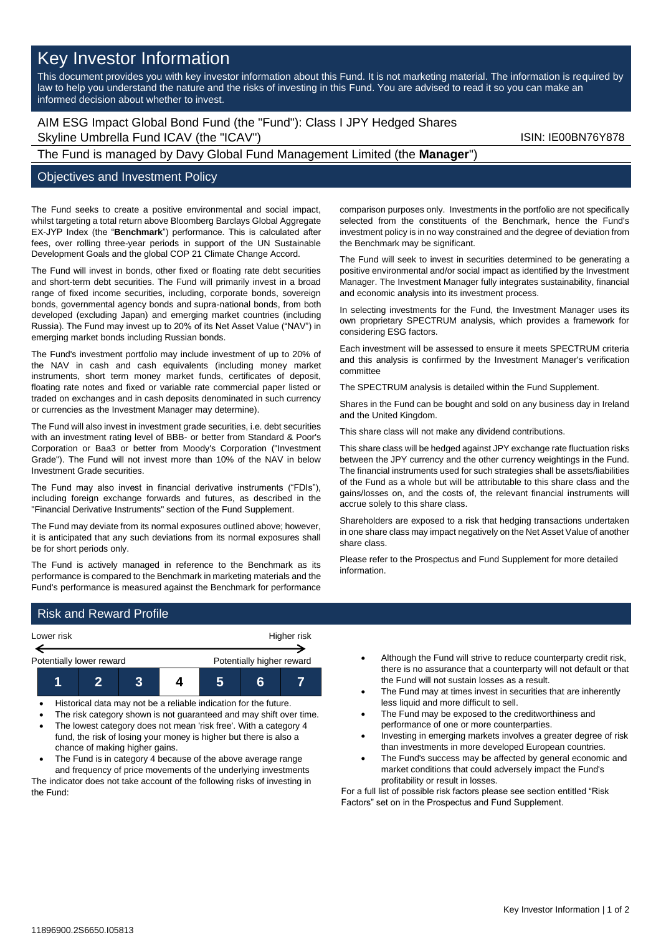# Key Investor Information

This document provides you with key investor information about this Fund. It is not marketing material. The information is required by law to help you understand the nature and the risks of investing in this Fund. You are advised to read it so you can make an informed decision about whether to invest.

AIM ESG Impact Global Bond Fund (the "Fund"): Class I JPY Hedged Shares Skyline Umbrella Fund ICAV (the "ICAV") Skyline Umbrella Fund ICAV (the "ICAV")

# The Fund is managed by Davy Global Fund Management Limited (the **Manager**")

#### Objectives and Investment Policy

The Fund seeks to create a positive environmental and social impact, whilst targeting a total return above Bloomberg Barclays Global Aggregate EX-JYP Index (the "**Benchmark**") performance. This is calculated after fees, over rolling three-year periods in support of the UN Sustainable Development Goals and the global COP 21 Climate Change Accord.

The Fund will invest in bonds, other fixed or floating rate debt securities and short-term debt securities. The Fund will primarily invest in a broad range of fixed income securities, including, corporate bonds, sovereign bonds, governmental agency bonds and supra-national bonds, from both developed (excluding Japan) and emerging market countries (including Russia). The Fund may invest up to 20% of its Net Asset Value ("NAV") in emerging market bonds including Russian bonds.

The Fund's investment portfolio may include investment of up to 20% of the NAV in cash and cash equivalents (including money market instruments, short term money market funds, certificates of deposit, floating rate notes and fixed or variable rate commercial paper listed or traded on exchanges and in cash deposits denominated in such currency or currencies as the Investment Manager may determine).

The Fund will also invest in investment grade securities, i.e. debt securities with an investment rating level of BBB- or better from Standard & Poor's Corporation or Baa3 or better from Moody's Corporation ("Investment Grade"). The Fund will not invest more than 10% of the NAV in below Investment Grade securities.

The Fund may also invest in financial derivative instruments ("FDIs"), including foreign exchange forwards and futures, as described in the "Financial Derivative Instruments" section of the Fund Supplement.

The Fund may deviate from its normal exposures outlined above; however, it is anticipated that any such deviations from its normal exposures shall be for short periods only.

The Fund is actively managed in reference to the Benchmark as its performance is compared to the Benchmark in marketing materials and the Fund's performance is measured against the Benchmark for performance comparison purposes only. Investments in the portfolio are not specifically selected from the constituents of the Benchmark, hence the Fund's investment policy is in no way constrained and the degree of deviation from the Benchmark may be significant.

The Fund will seek to invest in securities determined to be generating a positive environmental and/or social impact as identified by the Investment Manager. The Investment Manager fully integrates sustainability, financial and economic analysis into its investment process.

In selecting investments for the Fund, the Investment Manager uses its own proprietary SPECTRUM analysis, which provides a framework for considering ESG factors.

Each investment will be assessed to ensure it meets SPECTRUM criteria and this analysis is confirmed by the Investment Manager's verification committee

The SPECTRUM analysis is detailed within the Fund Supplement.

Shares in the Fund can be bought and sold on any business day in Ireland and the United Kingdom.

This share class will not make any dividend contributions.

This share class will be hedged against JPY exchange rate fluctuation risks between the JPY currency and the other currency weightings in the Fund. The financial instruments used for such strategies shall be assets/liabilities of the Fund as a whole but will be attributable to this share class and the gains/losses on, and the costs of, the relevant financial instruments will accrue solely to this share class.

Shareholders are exposed to a risk that hedging transactions undertaken in one share class may impact negatively on the Net Asset Value of another share class.

Please refer to the Prospectus and Fund Supplement for more detailed information.

# Risk and Reward Profile



- Historical data may not be a reliable indication for the future.
- The risk category shown is not guaranteed and may shift over time. • The lowest category does not mean 'risk free'. With a category 4
- fund, the risk of losing your money is higher but there is also a chance of making higher gains.
- The Fund is in category 4 because of the above average range and frequency of price movements of the underlying investments The indicator does not take account of the following risks of investing in the Fund:
- Although the Fund will strive to reduce counterparty credit risk, there is no assurance that a counterparty will not default or that the Fund will not sustain losses as a result.
- The Fund may at times invest in securities that are inherently less liquid and more difficult to sell.
- The Fund may be exposed to the creditworthiness and performance of one or more counterparties.
- Investing in emerging markets involves a greater degree of risk than investments in more developed European countries.
- The Fund's success may be affected by general economic and market conditions that could adversely impact the Fund's profitability or result in losses.

For a full list of possible risk factors please see section entitled "Risk Factors" set on in the Prospectus and Fund Supplement.